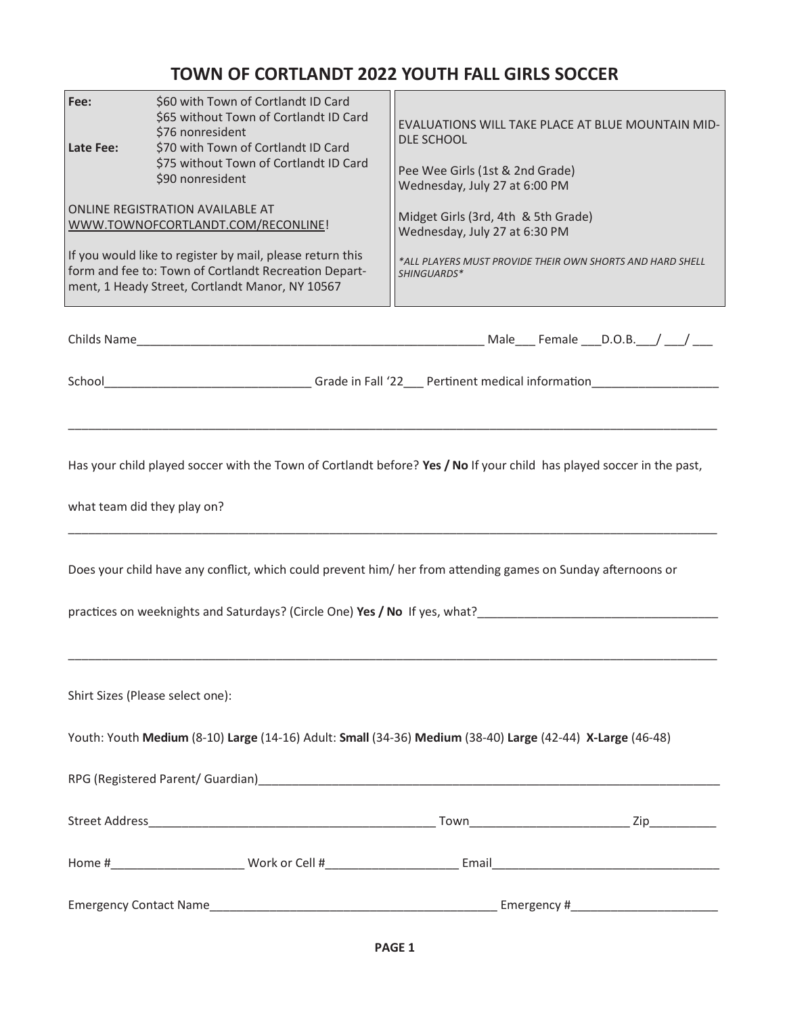## **TOWN OF CORTLANDT 2022 YOUTH FALL GIRLS SOCCER**

| Fee:<br>Late Fee:                                                                                                                                                                                                                                                                                                                                  | \$60 with Town of Cortlandt ID Card<br>\$65 without Town of Cortlandt ID Card<br>\$76 nonresident<br>\$70 with Town of Cortlandt ID Card<br>\$75 without Town of Cortlandt ID Card<br>\$90 nonresident | EVALUATIONS WILL TAKE PLACE AT BLUE MOUNTAIN MID-<br><b>DLE SCHOOL</b><br>Pee Wee Girls (1st & 2nd Grade)<br>Wednesday, July 27 at 6:00 PM |  |  |  |  |
|----------------------------------------------------------------------------------------------------------------------------------------------------------------------------------------------------------------------------------------------------------------------------------------------------------------------------------------------------|--------------------------------------------------------------------------------------------------------------------------------------------------------------------------------------------------------|--------------------------------------------------------------------------------------------------------------------------------------------|--|--|--|--|
| ONLINE REGISTRATION AVAILABLE AT<br>WWW.TOWNOFCORTLANDT.COM/RECONLINE!                                                                                                                                                                                                                                                                             |                                                                                                                                                                                                        | Midget Girls (3rd, 4th & 5th Grade)<br>Wednesday, July 27 at 6:30 PM                                                                       |  |  |  |  |
|                                                                                                                                                                                                                                                                                                                                                    | If you would like to register by mail, please return this<br>form and fee to: Town of Cortlandt Recreation Depart-<br>ment, 1 Heady Street, Cortlandt Manor, NY 10567                                  | *ALL PLAYERS MUST PROVIDE THEIR OWN SHORTS AND HARD SHELL<br>SHINGUARDS*                                                                   |  |  |  |  |
|                                                                                                                                                                                                                                                                                                                                                    |                                                                                                                                                                                                        |                                                                                                                                            |  |  |  |  |
|                                                                                                                                                                                                                                                                                                                                                    |                                                                                                                                                                                                        |                                                                                                                                            |  |  |  |  |
| Has your child played soccer with the Town of Cortlandt before? Yes / No If your child has played soccer in the past,<br>what team did they play on?<br>Does your child have any conflict, which could prevent him/ her from attending games on Sunday afternoons or<br>practices on weeknights and Saturdays? (Circle One) Yes / No If yes, what? |                                                                                                                                                                                                        |                                                                                                                                            |  |  |  |  |
|                                                                                                                                                                                                                                                                                                                                                    | Shirt Sizes (Please select one):                                                                                                                                                                       |                                                                                                                                            |  |  |  |  |
|                                                                                                                                                                                                                                                                                                                                                    | Youth: Youth Medium (8-10) Large (14-16) Adult: Small (34-36) Medium (38-40) Large (42-44) X-Large (46-48)                                                                                             |                                                                                                                                            |  |  |  |  |
|                                                                                                                                                                                                                                                                                                                                                    |                                                                                                                                                                                                        |                                                                                                                                            |  |  |  |  |
|                                                                                                                                                                                                                                                                                                                                                    |                                                                                                                                                                                                        |                                                                                                                                            |  |  |  |  |
|                                                                                                                                                                                                                                                                                                                                                    |                                                                                                                                                                                                        |                                                                                                                                            |  |  |  |  |
|                                                                                                                                                                                                                                                                                                                                                    |                                                                                                                                                                                                        |                                                                                                                                            |  |  |  |  |